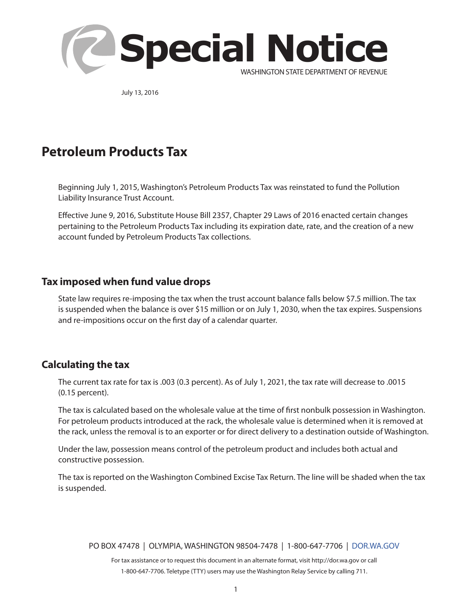

July 13, 2016

# **Petroleum Products Tax**

Beginning July 1, 2015, Washington's Petroleum Products Tax was reinstated to fund the Pollution Liability Insurance Trust Account.

Effective June 9, 2016, Substitute House Bill 2357, Chapter 29 Laws of 2016 enacted certain changes pertaining to the Petroleum Products Tax including its expiration date, rate, and the creation of a new account funded by Petroleum Products Tax collections.

## **Tax imposed when fund value drops**

State law requires re-imposing the tax when the trust account balance falls below \$7.5 million. The tax is suspended when the balance is over \$15 million or on July 1, 2030, when the tax expires. Suspensions and re-impositions occur on the first day of a calendar quarter.

# **Calculating the tax**

The current tax rate for tax is .003 (0.3 percent). As of July 1, 2021, the tax rate will decrease to .0015 (0.15 percent).

The tax is calculated based on the wholesale value at the time of first nonbulk possession in Washington. For petroleum products introduced at the rack, the wholesale value is determined when it is removed at the rack, unless the removal is to an exporter or for direct delivery to a destination outside of Washington.

Under the law, possession means control of the petroleum product and includes both actual and constructive possession.

The tax is reported on the Washington Combined Excise Tax Return. The line will be shaded when the tax is suspended.

PO BOX 47478 | OLYMPIA, WASHINGTON 98504-7478 | 1-800-647-7706 | DOR.WA.GOV

For tax assistance or to request this document in an alternate format, visit http://dor.wa.gov or call 1-800-647-7706. Teletype (TTY) users may use the Washington Relay Service by calling 711.